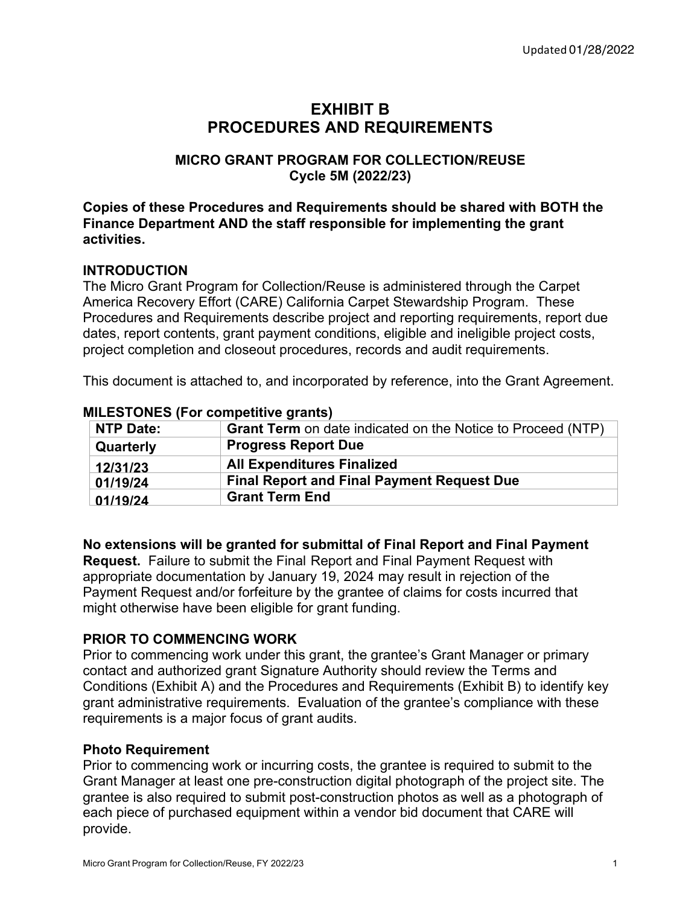# **EXHIBIT B PROCEDURES AND REQUIREMENTS**

### **MICRO GRANT PROGRAM FOR COLLECTION/REUSE Cycle 5M (2022/23)**

#### **Copies of these Procedures and Requirements should be shared with BOTH the Finance Department AND the staff responsible for implementing the grant activities.**

### **INTRODUCTION**

The Micro Grant Program for Collection/Reuse is administered through the Carpet America Recovery Effort (CARE) California Carpet Stewardship Program. These Procedures and Requirements describe project and reporting requirements, report due dates, report contents, grant payment conditions, eligible and ineligible project costs, project completion and closeout procedures, records and audit requirements.

This document is attached to, and incorporated by reference, into the Grant Agreement.

| <b>NTP Date:</b> | <b>Grant Term</b> on date indicated on the Notice to Proceed (NTP) |
|------------------|--------------------------------------------------------------------|
| Quarterly        | <b>Progress Report Due</b>                                         |
| 12/31/23         | <b>All Expenditures Finalized</b>                                  |
| 01/19/24         | <b>Final Report and Final Payment Request Due</b>                  |
| 01/19/24         | <b>Grant Term End</b>                                              |

#### **MILESTONES (For competitive grants)**

**No extensions will be granted for submittal of Final Report and Final Payment** 

**Request.** Failure to submit the Final Report and Final Payment Request with appropriate documentation by January 19, 2024 may result in rejection of the Payment Request and/or forfeiture by the grantee of claims for costs incurred that might otherwise have been eligible for grant funding.

#### **PRIOR TO COMMENCING WORK**

Prior to commencing work under this grant, the grantee's Grant Manager or primary contact and authorized grant Signature Authority should review the Terms and Conditions (Exhibit A) and the Procedures and Requirements (Exhibit B) to identify key grant administrative requirements. Evaluation of the grantee's compliance with these requirements is a major focus of grant audits.

#### **Photo Requirement**

Prior to commencing work or incurring costs, the grantee is required to submit to the Grant Manager at least one pre-construction digital photograph of the project site. The grantee is also required to submit post-construction photos as well as a photograph of each piece of purchased equipment within a vendor bid document that CARE will provide.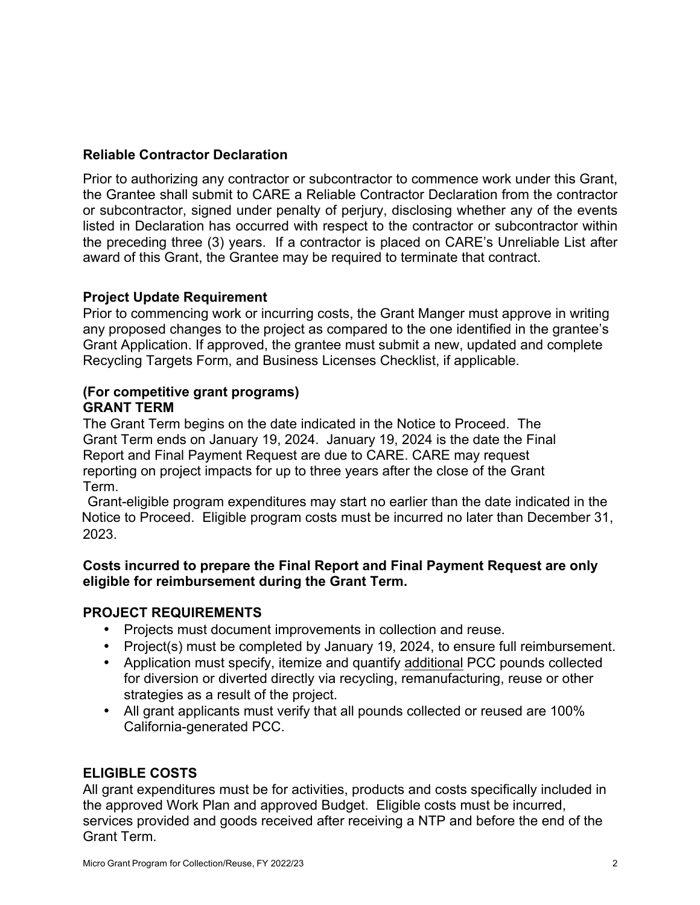### **Reliable Contractor Declaration**

Prior to authorizing any contractor or subcontractor to commence work under this Grant, the Grantee shall submit to CARE a Reliable Contractor Declaration from the contractor or subcontractor, signed under penalty of perjury, disclosing whether any of the events listed in Declaration has occurred with respect to the contractor or subcontractor within the preceding three (3) years. If a contractor is placed on CARE's Unreliable List after award of this Grant, the Grantee may be required to terminate that contract.

#### **Project Update Requirement**

Prior to commencing work or incurring costs, the Grant Manger must approve in writing any proposed changes to the project as compared to the one identified in the grantee's Grant Application. If approved, the grantee must submit a new, updated and complete Recycling Targets Form, and Business Licenses Checklist, if applicable.

#### **(For competitive grant programs) GRANT TERM**

The Grant Term begins on the date indicated in the Notice to Proceed. The Grant Term ends on January 19, 2024. January 19, 2024 is the date the Final Report and Final Payment Request are due to CARE. CARE may request reporting on project impacts for up to three years after the close of the Grant Term.

Grant-eligible program expenditures may start no earlier than the date indicated in the Notice to Proceed. Eligible program costs must be incurred no later than December 31, 2023.

#### **Costs incurred to prepare the Final Report and Final Payment Request are only eligible for reimbursement during the Grant Term.**

# **PROJECT REQUIREMENTS**

- Projects must document improvements in collection and reuse.
- Project(s) must be completed by January 19, 2024, to ensure full reimbursement.
- Application must specify, itemize and quantify additional PCC pounds collected for diversion or diverted directly via recycling, remanufacturing, reuse or other strategies as a result of the project.
- All grant applicants must verify that all pounds collected or reused are 100% California-generated PCC.

#### **ELIGIBLE COSTS**

All grant expenditures must be for activities, products and costs specifically included in the approved Work Plan and approved Budget. Eligible costs must be incurred, services provided and goods received after receiving a NTP and before the end of the Grant Term.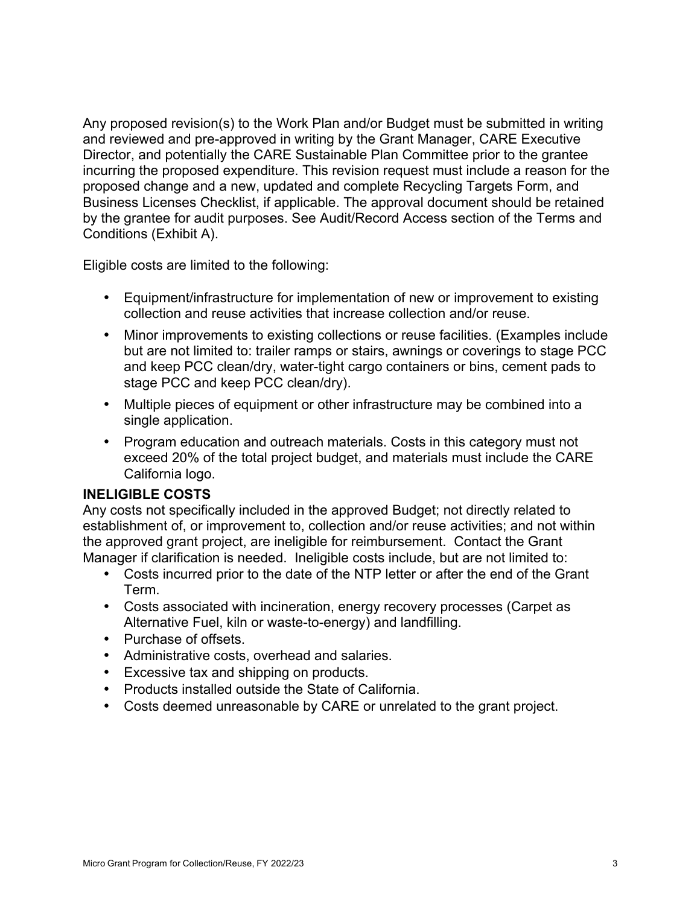Any proposed revision(s) to the Work Plan and/or Budget must be submitted in writing and reviewed and pre-approved in writing by the Grant Manager, CARE Executive Director, and potentially the CARE Sustainable Plan Committee prior to the grantee incurring the proposed expenditure. This revision request must include a reason for the proposed change and a new, updated and complete Recycling Targets Form, and Business Licenses Checklist, if applicable. The approval document should be retained by the grantee for audit purposes. See Audit/Record Access section of the Terms and Conditions (Exhibit A).

Eligible costs are limited to the following:

- Equipment/infrastructure for implementation of new or improvement to existing collection and reuse activities that increase collection and/or reuse.
- Minor improvements to existing collections or reuse facilities. (Examples include but are not limited to: trailer ramps or stairs, awnings or coverings to stage PCC and keep PCC clean/dry, water-tight cargo containers or bins, cement pads to stage PCC and keep PCC clean/dry).
- Multiple pieces of equipment or other infrastructure may be combined into a single application.
- Program education and outreach materials. Costs in this category must not exceed 20% of the total project budget, and materials must include the CARE California logo.

# **INELIGIBLE COSTS**

Any costs not specifically included in the approved Budget; not directly related to establishment of, or improvement to, collection and/or reuse activities; and not within the approved grant project, are ineligible for reimbursement. Contact the Grant Manager if clarification is needed. Ineligible costs include, but are not limited to:

- Costs incurred prior to the date of the NTP letter or after the end of the Grant Term.
- Costs associated with incineration, energy recovery processes (Carpet as Alternative Fuel, kiln or waste-to-energy) and landfilling.
- Purchase of offsets.
- Administrative costs, overhead and salaries.
- Excessive tax and shipping on products.
- Products installed outside the State of California.
- Costs deemed unreasonable by CARE or unrelated to the grant project.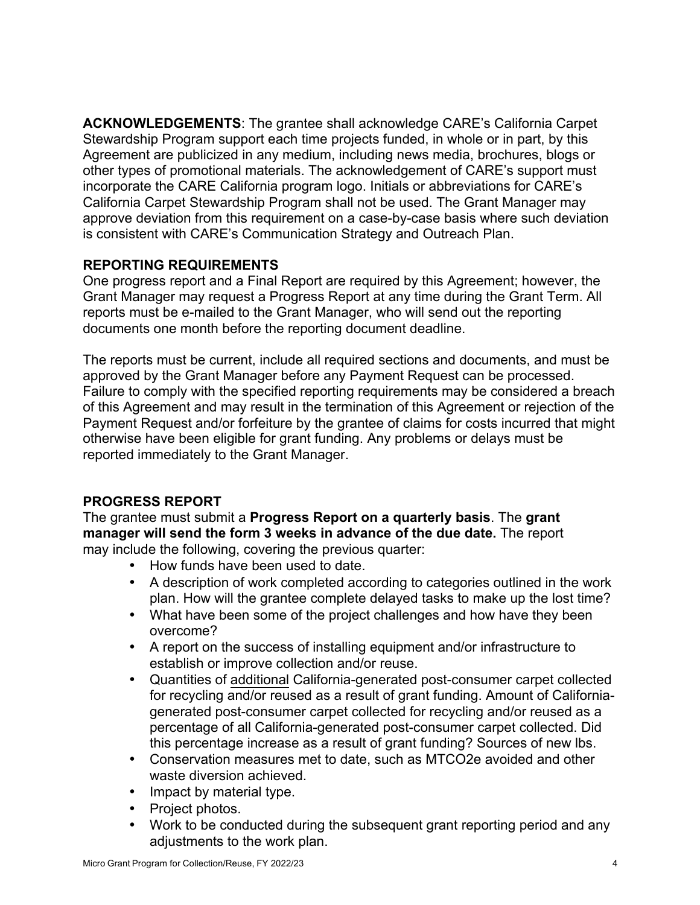**ACKNOWLEDGEMENTS**: The grantee shall acknowledge CARE's California Carpet Stewardship Program support each time projects funded, in whole or in part, by this Agreement are publicized in any medium, including news media, brochures, blogs or other types of promotional materials. The acknowledgement of CARE's support must incorporate the CARE California program logo. Initials or abbreviations for CARE's California Carpet Stewardship Program shall not be used. The Grant Manager may approve deviation from this requirement on a case-by-case basis where such deviation is consistent with CARE's Communication Strategy and Outreach Plan.

### **REPORTING REQUIREMENTS**

One progress report and a Final Report are required by this Agreement; however, the Grant Manager may request a Progress Report at any time during the Grant Term. All reports must be e-mailed to the Grant Manager, who will send out the reporting documents one month before the reporting document deadline.

The reports must be current, include all required sections and documents, and must be approved by the Grant Manager before any Payment Request can be processed. Failure to comply with the specified reporting requirements may be considered a breach of this Agreement and may result in the termination of this Agreement or rejection of the Payment Request and/or forfeiture by the grantee of claims for costs incurred that might otherwise have been eligible for grant funding. Any problems or delays must be reported immediately to the Grant Manager.

# **PROGRESS REPORT**

The grantee must submit a **Progress Report on a quarterly basis**. The **grant manager will send the form 3 weeks in advance of the due date.** The report may include the following, covering the previous quarter:

- How funds have been used to date.
- A description of work completed according to categories outlined in the work plan. How will the grantee complete delayed tasks to make up the lost time?
- What have been some of the project challenges and how have they been overcome?
- A report on the success of installing equipment and/or infrastructure to establish or improve collection and/or reuse.
- Quantities of additional California-generated post-consumer carpet collected for recycling and/or reused as a result of grant funding. Amount of Californiagenerated post-consumer carpet collected for recycling and/or reused as a percentage of all California-generated post-consumer carpet collected. Did this percentage increase as a result of grant funding? Sources of new lbs.
- Conservation measures met to date, such as MTCO2e avoided and other waste diversion achieved.
- Impact by material type.
- Project photos.
- Work to be conducted during the subsequent grant reporting period and any adjustments to the work plan.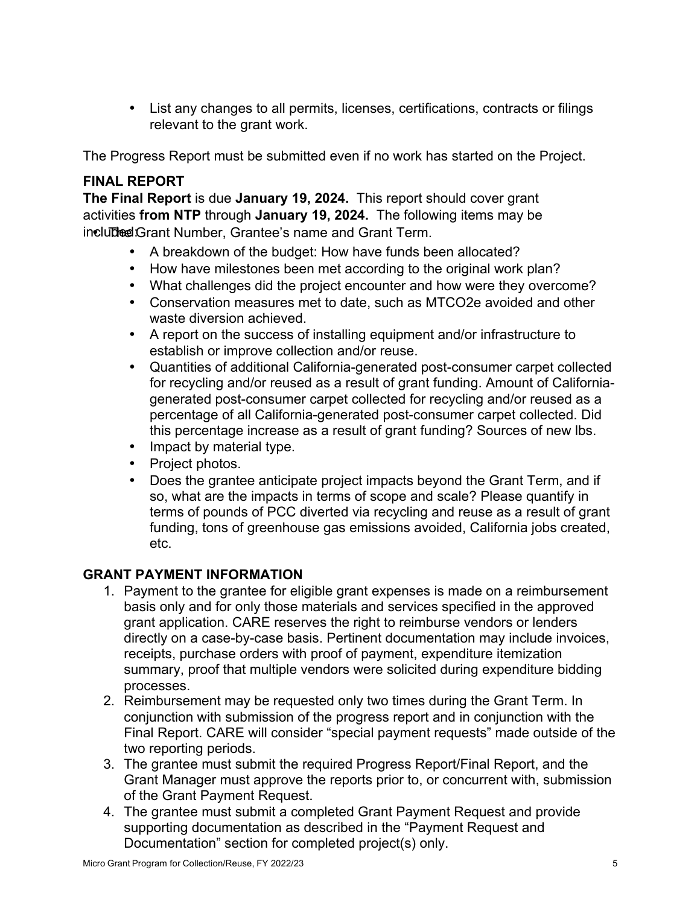• List any changes to all permits, licenses, certifications, contracts or filings relevant to the grant work.

The Progress Report must be submitted even if no work has started on the Project.

# **FINAL REPORT**

**The Final Report** is due **January 19, 2024.** This report should cover grant activities **from NTP** through **January 19, 2024.** The following items may be included: Grant Number, Grantee's name and Grant Term.

- A breakdown of the budget: How have funds been allocated?
- How have milestones been met according to the original work plan?
- What challenges did the project encounter and how were they overcome?
- Conservation measures met to date, such as MTCO2e avoided and other waste diversion achieved.
- A report on the success of installing equipment and/or infrastructure to establish or improve collection and/or reuse.
- Quantities of additional California-generated post-consumer carpet collected for recycling and/or reused as a result of grant funding. Amount of Californiagenerated post-consumer carpet collected for recycling and/or reused as a percentage of all California-generated post-consumer carpet collected. Did this percentage increase as a result of grant funding? Sources of new lbs.
- Impact by material type.
- Project photos.
- Does the grantee anticipate project impacts beyond the Grant Term, and if so, what are the impacts in terms of scope and scale? Please quantify in terms of pounds of PCC diverted via recycling and reuse as a result of grant funding, tons of greenhouse gas emissions avoided, California jobs created, etc.

#### **GRANT PAYMENT INFORMATION**

- 1. Payment to the grantee for eligible grant expenses is made on a reimbursement basis only and for only those materials and services specified in the approved grant application. CARE reserves the right to reimburse vendors or lenders directly on a case-by-case basis. Pertinent documentation may include invoices, receipts, purchase orders with proof of payment, expenditure itemization summary, proof that multiple vendors were solicited during expenditure bidding processes.
- 2. Reimbursement may be requested only two times during the Grant Term. In conjunction with submission of the progress report and in conjunction with the Final Report. CARE will consider "special payment requests" made outside of the two reporting periods.
- 3. The grantee must submit the required Progress Report/Final Report, and the Grant Manager must approve the reports prior to, or concurrent with, submission of the Grant Payment Request.
- 4. The grantee must submit a completed Grant Payment Request and provide supporting documentation as described in the "Payment Request and Documentation" section for completed project(s) only.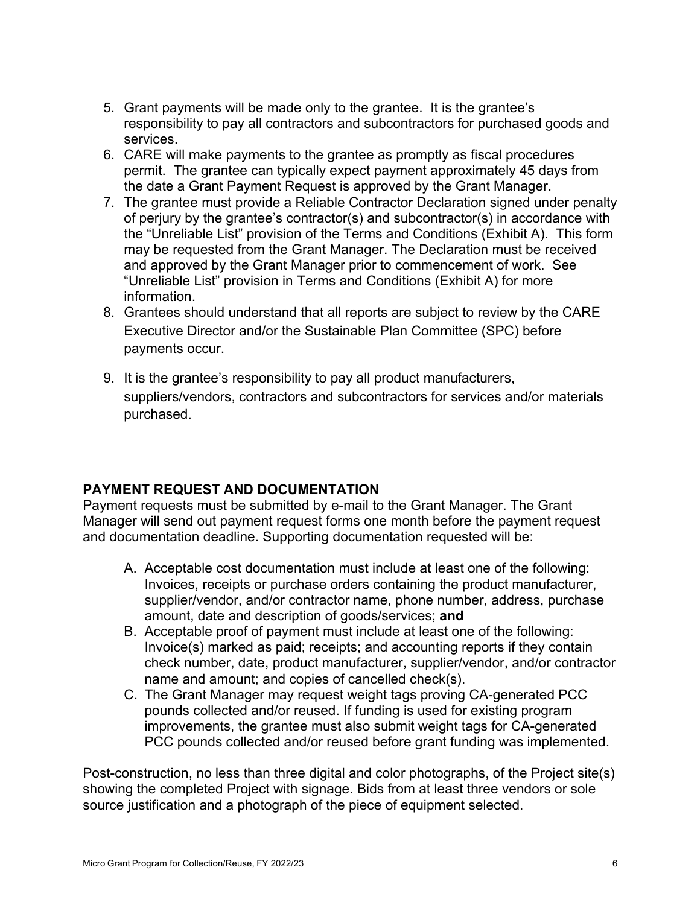- 5. Grant payments will be made only to the grantee. It is the grantee's responsibility to pay all contractors and subcontractors for purchased goods and services.
- 6. CARE will make payments to the grantee as promptly as fiscal procedures permit. The grantee can typically expect payment approximately 45 days from the date a Grant Payment Request is approved by the Grant Manager.
- 7. The grantee must provide a Reliable Contractor Declaration signed under penalty of perjury by the grantee's contractor(s) and subcontractor(s) in accordance with the "Unreliable List" provision of the Terms and Conditions (Exhibit A). This form may be requested from the Grant Manager. The Declaration must be received and approved by the Grant Manager prior to commencement of work. See "Unreliable List" provision in Terms and Conditions (Exhibit A) for more information.
- 8. Grantees should understand that all reports are subject to review by the CARE Executive Director and/or the Sustainable Plan Committee (SPC) before payments occur.
- 9. It is the grantee's responsibility to pay all product manufacturers, suppliers/vendors, contractors and subcontractors for services and/or materials purchased.

# **PAYMENT REQUEST AND DOCUMENTATION**

Payment requests must be submitted by e-mail to the Grant Manager. The Grant Manager will send out payment request forms one month before the payment request and documentation deadline. Supporting documentation requested will be:

- A. Acceptable cost documentation must include at least one of the following: Invoices, receipts or purchase orders containing the product manufacturer, supplier/vendor, and/or contractor name, phone number, address, purchase amount, date and description of goods/services; **and**
- B. Acceptable proof of payment must include at least one of the following: Invoice(s) marked as paid; receipts; and accounting reports if they contain check number, date, product manufacturer, supplier/vendor, and/or contractor name and amount; and copies of cancelled check(s).
- C. The Grant Manager may request weight tags proving CA-generated PCC pounds collected and/or reused. If funding is used for existing program improvements, the grantee must also submit weight tags for CA-generated PCC pounds collected and/or reused before grant funding was implemented.

Post-construction, no less than three digital and color photographs, of the Project site(s) showing the completed Project with signage. Bids from at least three vendors or sole source justification and a photograph of the piece of equipment selected.